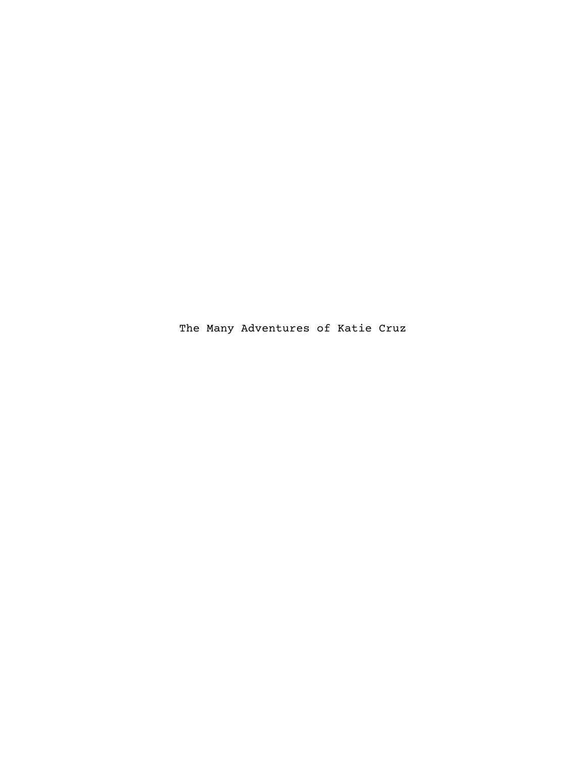The Many Adventures of Katie Cruz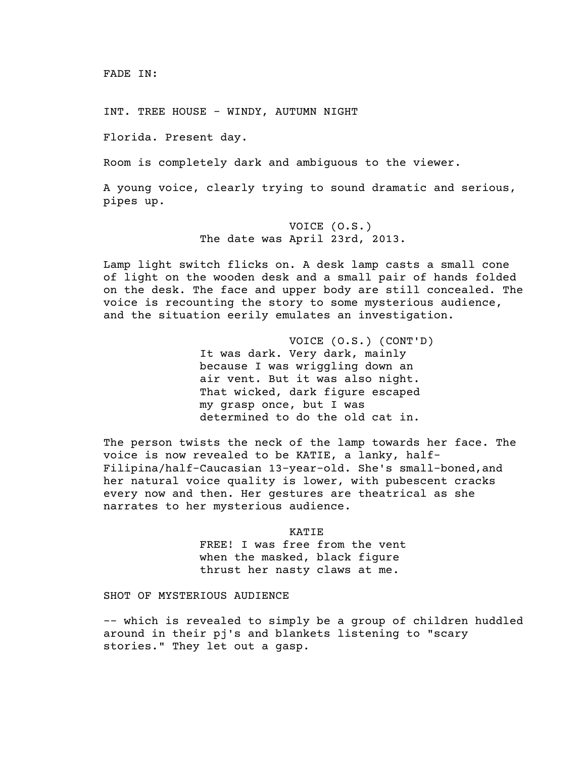INT. TREE HOUSE - WINDY, AUTUMN NIGHT

Florida. Present day.

Room is completely dark and ambiguous to the viewer.

A young voice, clearly trying to sound dramatic and serious, pipes up.

> VOICE (O.S.) The date was April 23rd, 2013.

Lamp light switch flicks on. A desk lamp casts a small cone of light on the wooden desk and a small pair of hands folded on the desk. The face and upper body are still concealed. The voice is recounting the story to some mysterious audience, and the situation eerily emulates an investigation.

> VOICE (O.S.) (CONT'D) It was dark. Very dark, mainly because I was wriggling down an air vent. But it was also night. That wicked, dark figure escaped my grasp once, but I was determined to do the old cat in.

The person twists the neck of the lamp towards her face. The voice is now revealed to be KATIE, a lanky, half-Filipina/half-Caucasian 13-year-old. She's small-boned,and her natural voice quality is lower, with pubescent cracks every now and then. Her gestures are theatrical as she narrates to her mysterious audience.

> KATIE FREE! I was free from the vent when the masked, black figure thrust her nasty claws at me.

SHOT OF MYSTERIOUS AUDIENCE

-– which is revealed to simply be a group of children huddled around in their pj's and blankets listening to "scary stories." They let out a gasp.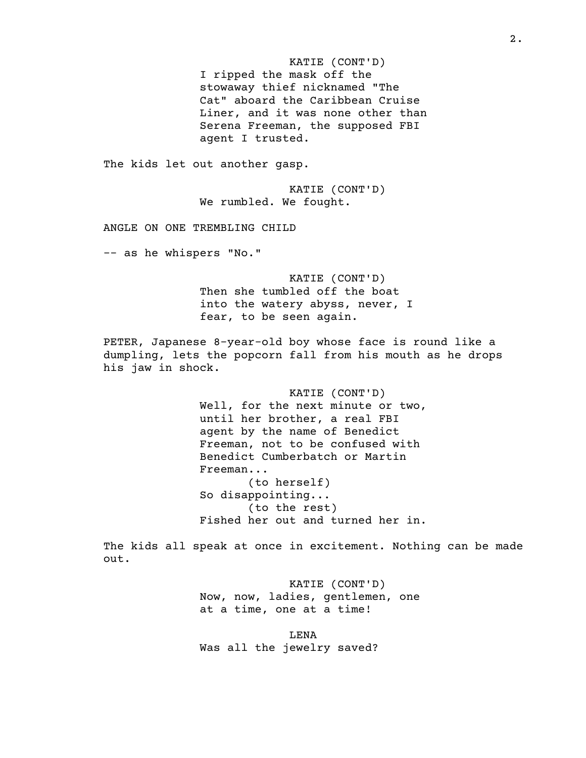KATIE (CONT'D) I ripped the mask off the stowaway thief nicknamed "The Cat" aboard the Caribbean Cruise Liner, and it was none other than Serena Freeman, the supposed FBI agent I trusted. The kids let out another gasp. KATIE (CONT'D) We rumbled. We fought. ANGLE ON ONE TREMBLING CHILD -– as he whispers "No." KATIE (CONT'D) Then she tumbled off the boat into the watery abyss, never, I fear, to be seen again. PETER, Japanese 8-year-old boy whose face is round like a dumpling, lets the popcorn fall from his mouth as he drops his jaw in shock. KATIE (CONT'D) Well, for the next minute or two, until her brother, a real FBI agent by the name of Benedict Freeman, not to be confused with Benedict Cumberbatch or Martin Freeman... (to herself) So disappointing... (to the rest) Fished her out and turned her in. The kids all speak at once in excitement. Nothing can be made out.

> KATIE (CONT'D) Now, now, ladies, gentlemen, one at a time, one at a time!

LENA Was all the jewelry saved?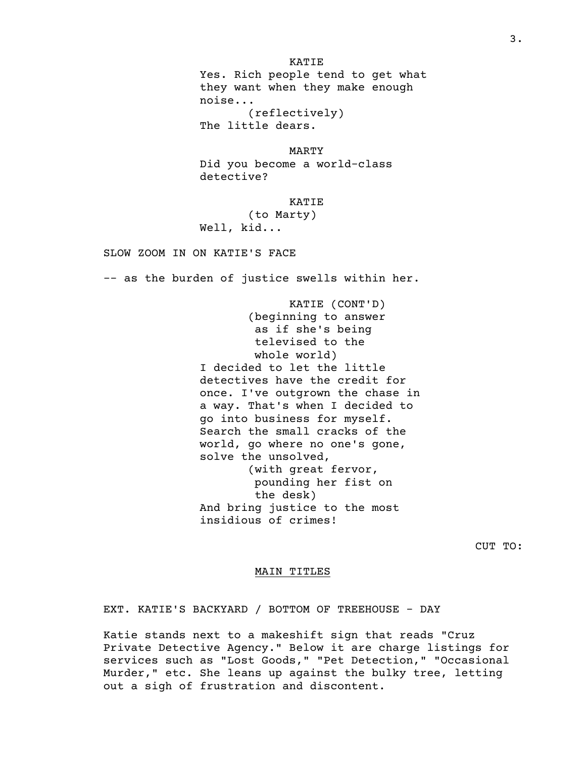KATIE Yes. Rich people tend to get what they want when they make enough noise... (reflectively) The little dears.

MARTY Did you become a world-class detective?

KATIE

(to Marty) Well, kid...

SLOW ZOOM IN ON KATIE'S FACE

-– as the burden of justice swells within her.

KATIE (CONT'D) (beginning to answer as if she's being televised to the whole world) I decided to let the little detectives have the credit for once. I've outgrown the chase in a way. That's when I decided to go into business for myself. Search the small cracks of the world, go where no one's gone, solve the unsolved, (with great fervor, pounding her fist on the desk) And bring justice to the most insidious of crimes!

CUT TO:

#### MAIN TITLES

EXT. KATIE'S BACKYARD / BOTTOM OF TREEHOUSE - DAY

Katie stands next to a makeshift sign that reads "Cruz Private Detective Agency." Below it are charge listings for services such as "Lost Goods," "Pet Detection," "Occasional Murder," etc. She leans up against the bulky tree, letting out a sigh of frustration and discontent.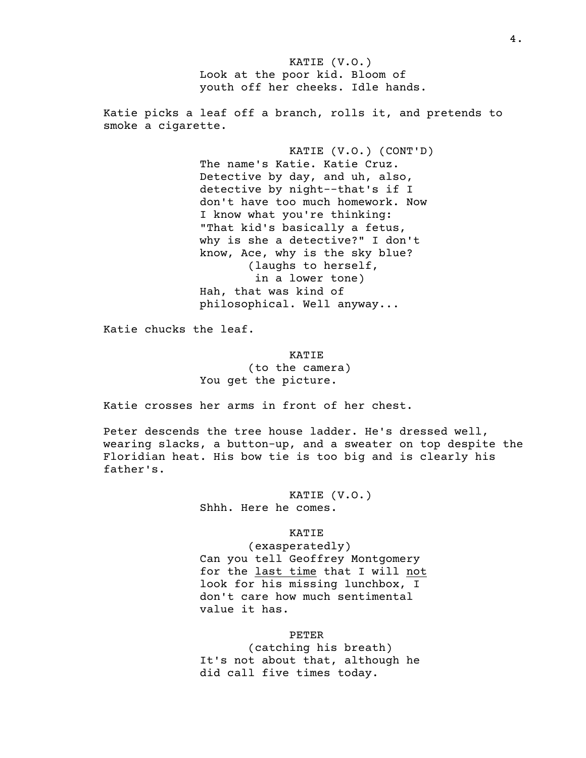KATIE (V.O.) Look at the poor kid. Bloom of youth off her cheeks. Idle hands. Katie picks a leaf off a branch, rolls it, and pretends to smoke a cigarette. KATIE (V.O.) (CONT'D) The name's Katie. Katie Cruz. Detective by day, and uh, also, detective by night-–that's if I don't have too much homework. Now I know what you're thinking: "That kid's basically a fetus, why is she a detective?" I don't know, Ace, why is the sky blue? (laughs to herself, in a lower tone) Hah, that was kind of philosophical. Well anyway...

Katie chucks the leaf.

KATIE (to the camera) You get the picture.

Katie crosses her arms in front of her chest.

Peter descends the tree house ladder. He's dressed well, wearing slacks, a button-up, and a sweater on top despite the Floridian heat. His bow tie is too big and is clearly his father's.

> KATIE (V.O.) Shhh. Here he comes.

> > KATIE

(exasperatedly) Can you tell Geoffrey Montgomery for the last time that I will not look for his missing lunchbox, I don't care how much sentimental value it has.

### PETER

(catching his breath) It's not about that, although he did call five times today.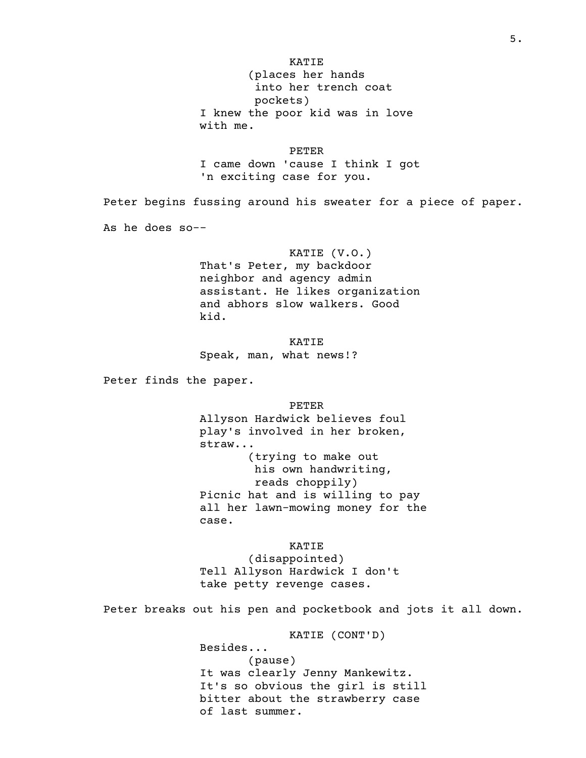(places her hands into her trench coat pockets) I knew the poor kid was in love with me.

PETER

I came down 'cause I think I got 'n exciting case for you.

Peter begins fussing around his sweater for a piece of paper.

As he does so-–

# KATIE (V.O.)

That's Peter, my backdoor neighbor and agency admin assistant. He likes organization and abhors slow walkers. Good kid.

KATIE Speak, man, what news!?

Peter finds the paper.

PETER Allyson Hardwick believes foul play's involved in her broken, straw... (trying to make out his own handwriting, reads choppily) Picnic hat and is willing to pay all her lawn-mowing money for the case.

KATIE (disappointed) Tell Allyson Hardwick I don't take petty revenge cases.

Peter breaks out his pen and pocketbook and jots it all down.

KATIE (CONT'D) Besides... (pause) It was clearly Jenny Mankewitz. It's so obvious the girl is still bitter about the strawberry case of last summer.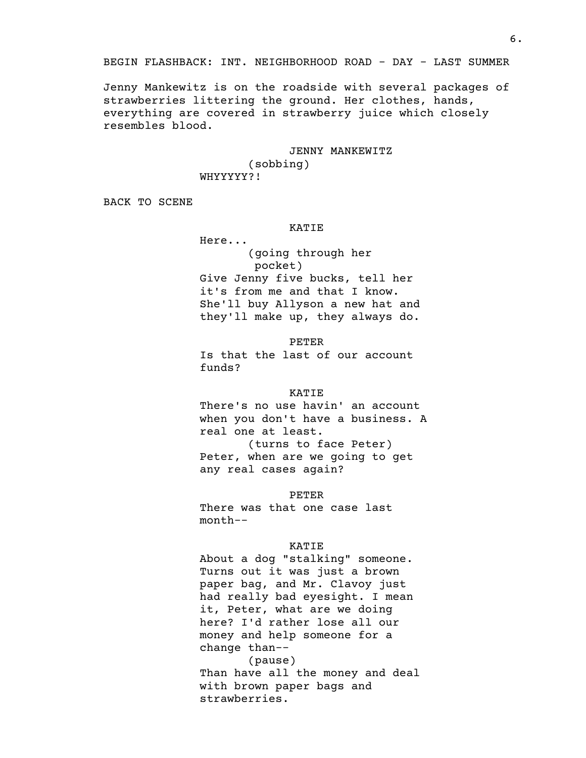Jenny Mankewitz is on the roadside with several packages of strawberries littering the ground. Her clothes, hands, everything are covered in strawberry juice which closely resembles blood.

JENNY MANKEWITZ

(sobbing) WHYYYYY?!

BACK TO SCENE

### KATIE

Here... (going through her pocket) Give Jenny five bucks, tell her it's from me and that I know. She'll buy Allyson a new hat and they'll make up, they always do.

PETER

Is that the last of our account funds?

### KATIE

There's no use havin' an account when you don't have a business. A real one at least. (turns to face Peter) Peter, when are we going to get any real cases again?

PETER

There was that one case last month-–

### KATIE

About a dog "stalking" someone. Turns out it was just a brown paper bag, and Mr. Clavoy just had really bad eyesight. I mean it, Peter, what are we doing here? I'd rather lose all our money and help someone for a change than-– (pause) Than have all the money and deal with brown paper bags and strawberries.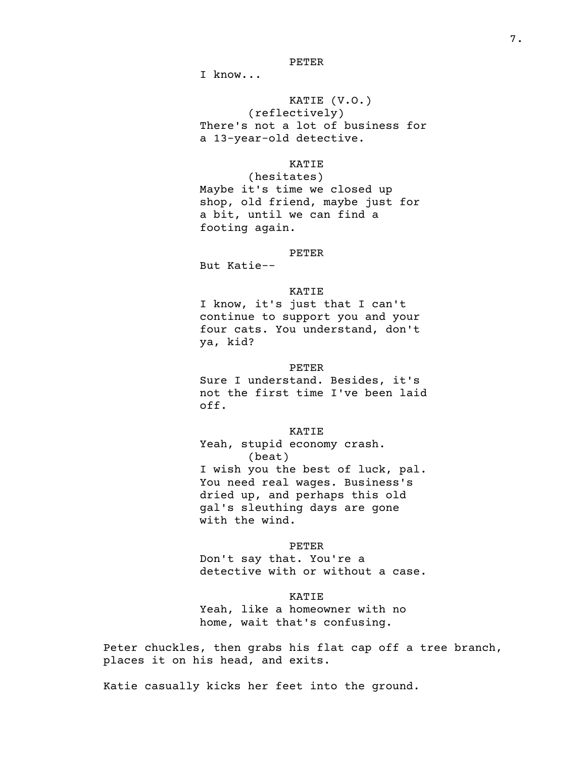#### PETER

I know...

# KATIE (V.O.)

(reflectively) There's not a lot of business for a 13-year-old detective.

# KATIE

(hesitates) Maybe it's time we closed up shop, old friend, maybe just for a bit, until we can find a footing again.

# PETER

But Katie-–

# KATIE

I know, it's just that I can't continue to support you and your four cats. You understand, don't ya, kid?

### PETER

Sure I understand. Besides, it's not the first time I've been laid off.

# KATIE

Yeah, stupid economy crash. (beat) I wish you the best of luck, pal. You need real wages. Business's dried up, and perhaps this old gal's sleuthing days are gone with the wind.

#### PETER

Don't say that. You're a detective with or without a case.

#### KATIE

Yeah, like a homeowner with no home, wait that's confusing.

Peter chuckles, then grabs his flat cap off a tree branch, places it on his head, and exits.

Katie casually kicks her feet into the ground.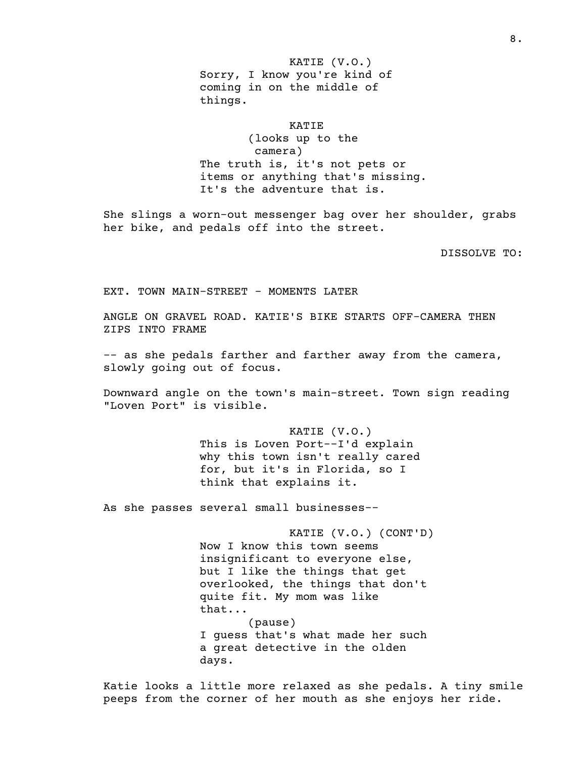KATIE (V.O.) Sorry, I know you're kind of coming in on the middle of things.

# KATIE

(looks up to the camera) The truth is, it's not pets or items or anything that's missing. It's the adventure that is.

She slings a worn-out messenger bag over her shoulder, grabs her bike, and pedals off into the street.

DISSOLVE TO:

EXT. TOWN MAIN-STREET - MOMENTS LATER

ANGLE ON GRAVEL ROAD. KATIE'S BIKE STARTS OFF-CAMERA THEN ZIPS INTO FRAME

-– as she pedals farther and farther away from the camera, slowly going out of focus.

Downward angle on the town's main-street. Town sign reading "Loven Port" is visible.

> KATIE (V.O.) This is Loven Port-–I'd explain why this town isn't really cared for, but it's in Florida, so I think that explains it.

As she passes several small businesses-–

KATIE (V.O.) (CONT'D) Now I know this town seems insignificant to everyone else, but I like the things that get overlooked, the things that don't quite fit. My mom was like that... (pause) I guess that's what made her such a great detective in the olden days.

Katie looks a little more relaxed as she pedals. A tiny smile peeps from the corner of her mouth as she enjoys her ride.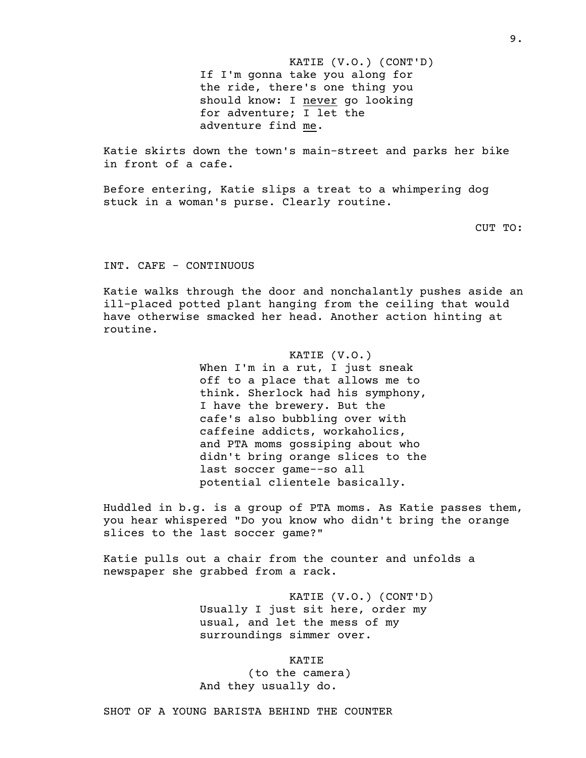KATIE (V.O.) (CONT'D) If I'm gonna take you along for the ride, there's one thing you should know: I never go looking for adventure; I let the adventure find me.

Katie skirts down the town's main-street and parks her bike in front of a cafe.

Before entering, Katie slips a treat to a whimpering dog stuck in a woman's purse. Clearly routine.

CUT TO:

INT. CAFE - CONTINUOUS

Katie walks through the door and nonchalantly pushes aside an ill-placed potted plant hanging from the ceiling that would have otherwise smacked her head. Another action hinting at routine.

> KATIE (V.O.) When I'm in a rut, I just sneak off to a place that allows me to think. Sherlock had his symphony, I have the brewery. But the cafe's also bubbling over with caffeine addicts, workaholics, and PTA moms gossiping about who didn't bring orange slices to the last soccer game-–so all potential clientele basically.

Huddled in b.g. is a group of PTA moms. As Katie passes them, you hear whispered "Do you know who didn't bring the orange slices to the last soccer game?"

Katie pulls out a chair from the counter and unfolds a newspaper she grabbed from a rack.

> KATIE (V.O.) (CONT'D) Usually I just sit here, order my usual, and let the mess of my surroundings simmer over.

> > KATIE

(to the camera) And they usually do.

SHOT OF A YOUNG BARISTA BEHIND THE COUNTER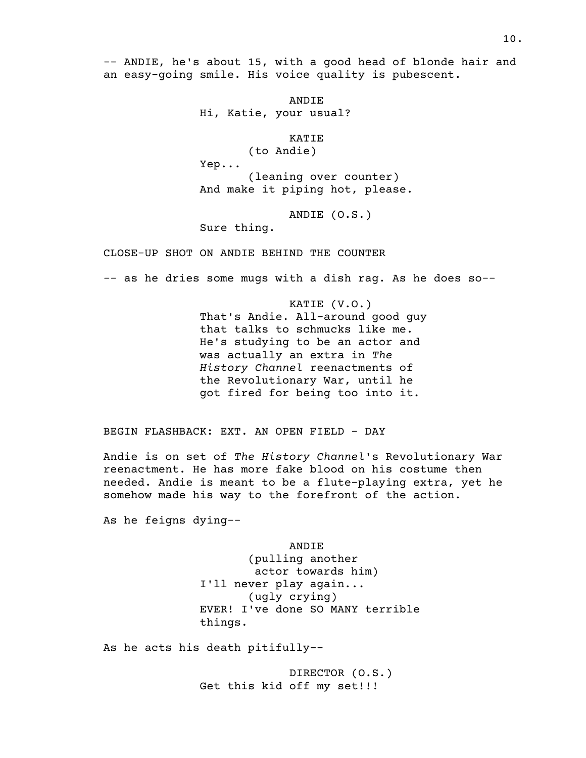-– ANDIE, he's about 15, with a good head of blonde hair and an easy-going smile. His voice quality is pubescent.

> ANDIE Hi, Katie, your usual?

> > KATIE

(to Andie) Yep... (leaning over counter) And make it piping hot, please.

ANDIE (O.S.)

Sure thing.

CLOSE-UP SHOT ON ANDIE BEHIND THE COUNTER

-– as he dries some mugs with a dish rag. As he does so-–

KATIE (V.O.) That's Andie. All-around good guy that talks to schmucks like me. He's studying to be an actor and was actually an extra in *The History Channel* reenactments of the Revolutionary War, until he got fired for being too into it.

BEGIN FLASHBACK: EXT. AN OPEN FIELD - DAY

Andie is on set of *The History Channel*'s Revolutionary War reenactment. He has more fake blood on his costume then needed. Andie is meant to be a flute-playing extra, yet he somehow made his way to the forefront of the action.

As he feigns dying-–

ANDIE (pulling another actor towards him) I'll never play again... (ugly crying) EVER! I've done SO MANY terrible things.

As he acts his death pitifully-–

DIRECTOR (O.S.) Get this kid off my set!!!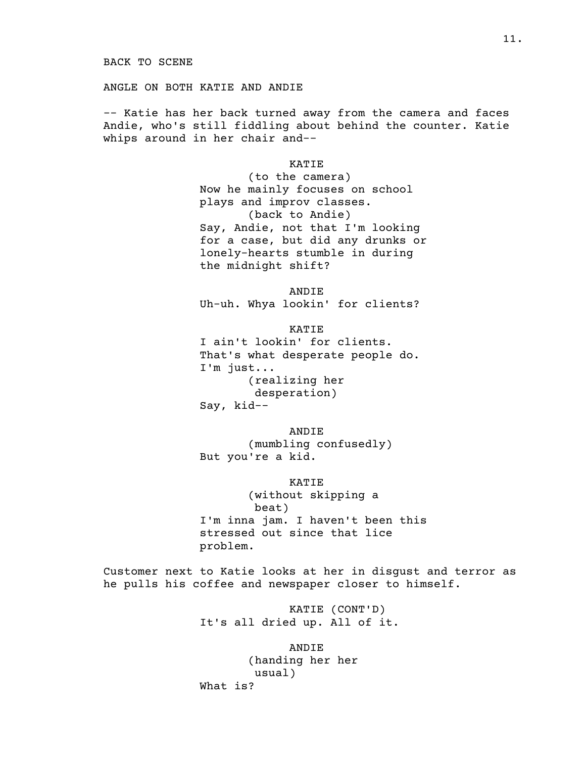ANGLE ON BOTH KATIE AND ANDIE

-– Katie has her back turned away from the camera and faces Andie, who's still fiddling about behind the counter. Katie whips around in her chair and-–

> KATIE (to the camera) Now he mainly focuses on school plays and improv classes. (back to Andie) Say, Andie, not that I'm looking for a case, but did any drunks or lonely-hearts stumble in during the midnight shift?

ANDIE Uh-uh. Whya lookin' for clients?

KATIE I ain't lookin' for clients. That's what desperate people do. I'm just... (realizing her desperation) Say, kid-–

ANDIE (mumbling confusedly) But you're a kid.

KATIE (without skipping a beat) I'm inna jam. I haven't been this stressed out since that lice problem.

Customer next to Katie looks at her in disgust and terror as he pulls his coffee and newspaper closer to himself.

> KATIE (CONT'D) It's all dried up. All of it.

ANDIE (handing her her usual) What is?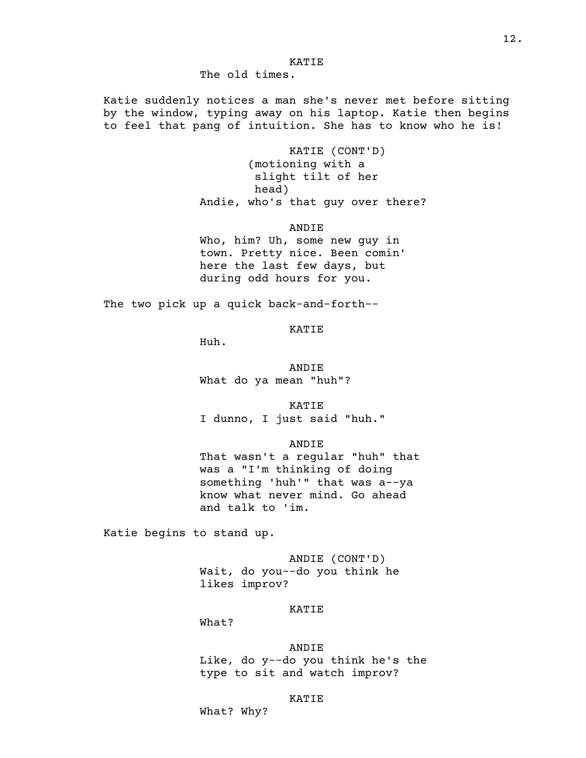KATIE

The old times.

Katie suddenly notices a man she's never met before sitting by the window, typing away on his laptop. Katie then begins to feel that pang of intuition. She has to know who he is!

> KATIE (CONT'D) (motioning with a slight tilt of her head) Andie, who's that guy over there?

> > ANDIE

Who, him? Uh, some new guy in town. Pretty nice. Been comin' here the last few days, but during odd hours for you.

The two pick up a quick back-and-forth-–

KATIE

Huh.

ANDIE What do ya mean "huh"?

KATIE I dunno, I just said "huh."

ANDIE

That wasn't a regular "huh" that was a "I'm thinking of doing something 'huh'" that was a-–ya know what never mind. Go ahead and talk to 'im.

Katie begins to stand up.

ANDIE (CONT'D) Wait, do you-–do you think he likes improv?

### KATIE

What?

### ANDIE

Like, do y-–do you think he's the type to sit and watch improv?

### KATIE

What? Why?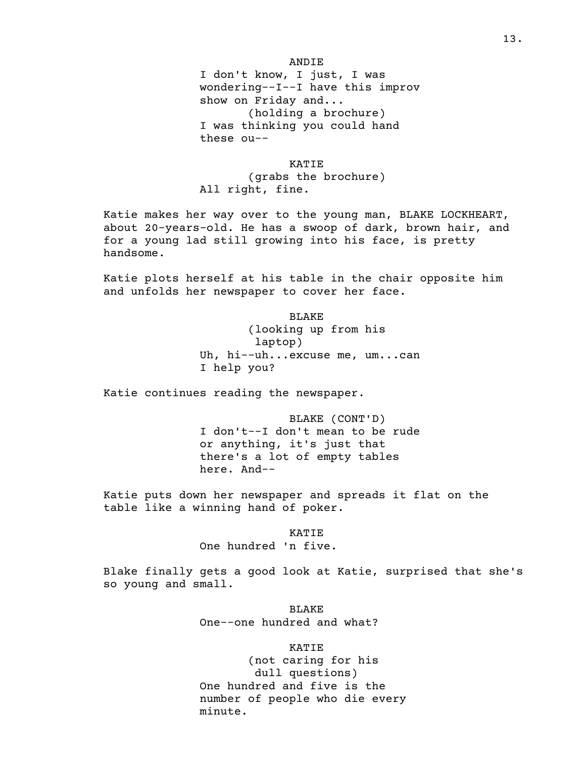#### ANDIE

I don't know, I just, I was wondering-–I-–I have this improv show on Friday and... (holding a brochure) I was thinking you could hand these ou-–

# KATIE

(grabs the brochure) All right, fine.

Katie makes her way over to the young man, BLAKE LOCKHEART, about 20-years-old. He has a swoop of dark, brown hair, and for a young lad still growing into his face, is pretty handsome.

Katie plots herself at his table in the chair opposite him and unfolds her newspaper to cover her face.

> BLAKE (looking up from his laptop) Uh, hi-–uh...excuse me, um...can I help you?

Katie continues reading the newspaper.

BLAKE (CONT'D) I don't-–I don't mean to be rude or anything, it's just that there's a lot of empty tables here. And-–

Katie puts down her newspaper and spreads it flat on the table like a winning hand of poker.

> KATIE One hundred 'n five.

Blake finally gets a good look at Katie, surprised that she's so young and small.

> BLAKE One-–one hundred and what?

> > KATIE

(not caring for his dull questions) One hundred and five is the number of people who die every minute.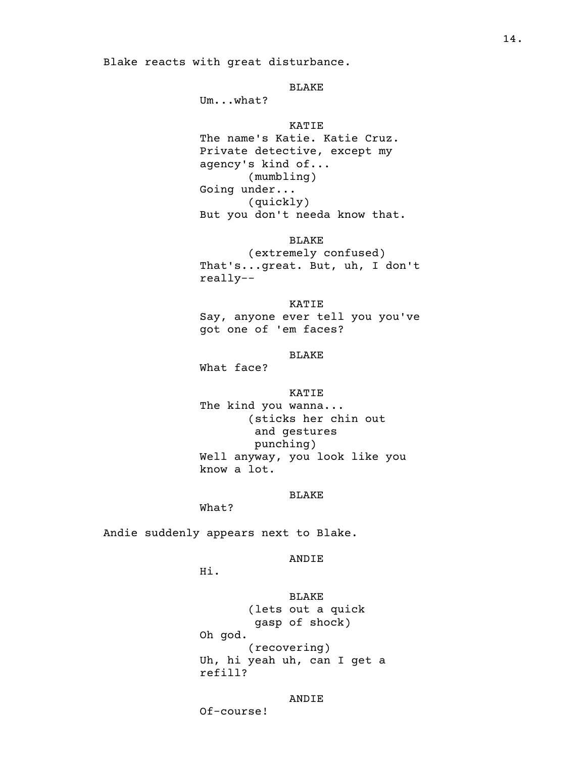### BLAKE

Um...what?

# KATIE

The name's Katie. Katie Cruz. Private detective, except my agency's kind of... (mumbling) Going under... (quickly) But you don't needa know that.

### BLAKE

(extremely confused) That's...great. But, uh, I don't really-–

KATIE Say, anyone ever tell you you've got one of 'em faces?

# BLAKE

What face?

#### KATIE

The kind you wanna... (sticks her chin out and gestures punching) Well anyway, you look like you know a lot.

# BLAKE

What?

Andie suddenly appears next to Blake.

# ANDIE

Hi.

BLAKE (lets out a quick gasp of shock) Oh god. (recovering) Uh, hi yeah uh, can I get a refill?

### ANDIE

Of-course!